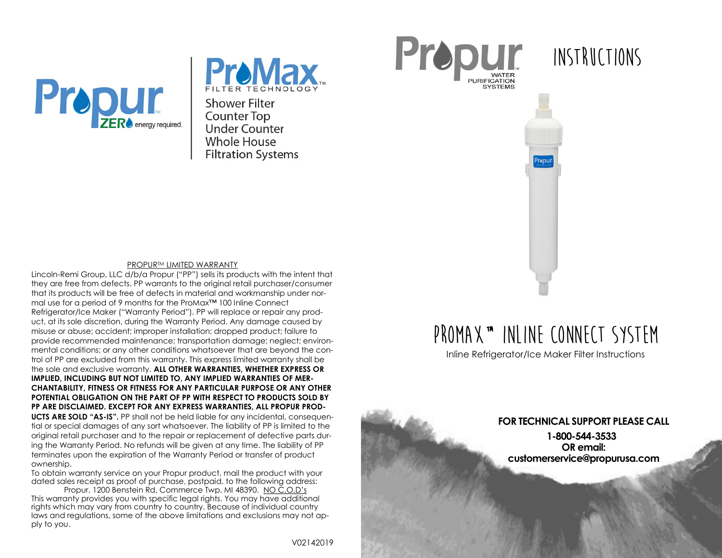



**Shower Filter Counter Top** Under Counter **Whole House Filtration Systems** 





#### PROPURTM LIMITED WARRANTY

Lincoln-Remi Group, LLC d/b/a Propur ("PP") sells its products with the intent that they are free from defects. PP warrants to the original retail purchaser/consumer that its products will be free of defects in material and workmanship under normal use for a period of 9 months for the ProMax™ 100 Inline Connect Refrigerator/Ice Maker ("Warranty Period"). PP will replace or repair any product, at its sole discretion, during the Warranty Period. Any damage caused by misuse or abuse; accident; improper installation; dropped product; failure to provide recommended maintenance; transportation damage; neglect; environmental conditions; or any other conditions whatsoever that are beyond the control of PP are excluded from this warranty. This express limited warranty shall be the sole and exclusive warranty. **ALL OTHER WARRANTIES, WHETHER EXPRESS OR IMPLIED, INCLUDING BUT NOT LIMITED TO, ANY IMPLIED WARRANTIES OF MER-CHANTABILITY, FITNESS OR FITNESS FOR ANY PARTICULAR PURPOSE OR ANY OTHER POTENTIAL OBLIGATION ON THE PART OF PP WITH RESPECT TO PRODUCTS SOLD BY PP ARE DISCLAIMED. EXCEPT FOR ANY EXPRESS WARRANTIES, ALL PROPUR PROD-UCTS ARE SOLD "AS-IS".** PP shall not be held liable for any incidental, consequential or special damages of any sort whatsoever. The liability of PP is limited to the original retail purchaser and to the repair or replacement of defective parts during the Warranty Period. No refunds will be given at any time. The liability of PP terminates upon the expiration of the Warranty Period or transfer of product ownership.

To obtain warranty service on your Propur product, mail the product with your dated sales receipt as proof of purchase, postpaid, to the following address: Propur, 1200 Benstein Rd, Commerce Twp, MI 48390. NO C.O.D's

This warranty provides you with specific legal rights. You may have additional rights which may vary from country to country. Because of individual country laws and regulations, some of the above limitations and exclusions may not apply to you.

# **ProMax™ Inline Connect System**

Prepul

Inline Refrigerator/Ice Maker Filter Instructions

**FOR TECHNICAL SUPPORT PLEASE CALL 1-800-544-3533 OR email: customerservice@propurusa.com**